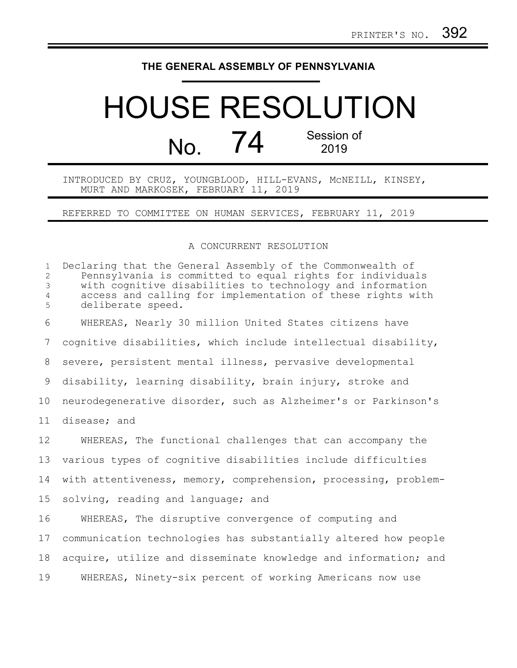## **THE GENERAL ASSEMBLY OF PENNSYLVANIA**

## HOUSE RESOLUTION No. 74 Session of 2019

INTRODUCED BY CRUZ, YOUNGBLOOD, HILL-EVANS, McNEILL, KINSEY, MURT AND MARKOSEK, FEBRUARY 11, 2019

REFERRED TO COMMITTEE ON HUMAN SERVICES, FEBRUARY 11, 2019

## A CONCURRENT RESOLUTION

| $\mathbf{1}$<br>$\overline{c}$<br>3<br>$\overline{4}$<br>5 | Declaring that the General Assembly of the Commonwealth of<br>Pennsylvania is committed to equal rights for individuals<br>with cognitive disabilities to technology and information<br>access and calling for implementation of these rights with<br>deliberate speed. |
|------------------------------------------------------------|-------------------------------------------------------------------------------------------------------------------------------------------------------------------------------------------------------------------------------------------------------------------------|
| 6                                                          | WHEREAS, Nearly 30 million United States citizens have                                                                                                                                                                                                                  |
| 7                                                          | cognitive disabilities, which include intellectual disability,                                                                                                                                                                                                          |
| $8\,$                                                      | severe, persistent mental illness, pervasive developmental                                                                                                                                                                                                              |
| 9                                                          | disability, learning disability, brain injury, stroke and                                                                                                                                                                                                               |
| 10                                                         | neurodegenerative disorder, such as Alzheimer's or Parkinson's                                                                                                                                                                                                          |
| 11                                                         | disease; and                                                                                                                                                                                                                                                            |
| 12                                                         | WHEREAS, The functional challenges that can accompany the                                                                                                                                                                                                               |
| 13                                                         | various types of cognitive disabilities include difficulties                                                                                                                                                                                                            |
| 14                                                         | with attentiveness, memory, comprehension, processing, problem-                                                                                                                                                                                                         |
| 15                                                         | solving, reading and language; and                                                                                                                                                                                                                                      |
| 16                                                         | WHEREAS, The disruptive convergence of computing and                                                                                                                                                                                                                    |
| 17                                                         | communication technologies has substantially altered how people                                                                                                                                                                                                         |
| 18                                                         | acquire, utilize and disseminate knowledge and information; and                                                                                                                                                                                                         |
| 19                                                         | WHEREAS, Ninety-six percent of working Americans now use                                                                                                                                                                                                                |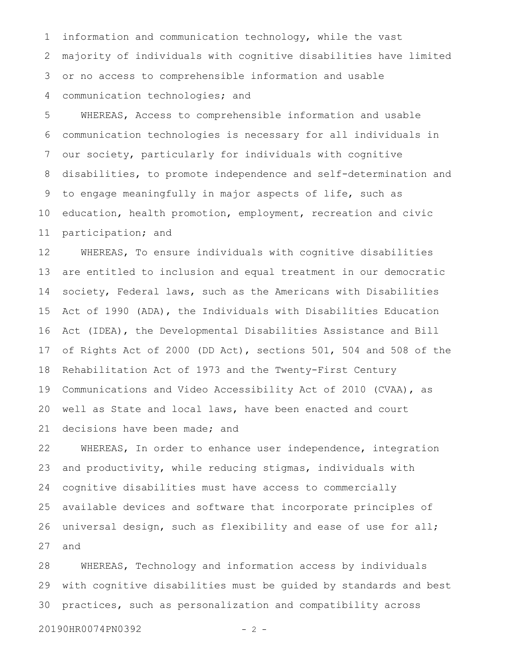information and communication technology, while the vast majority of individuals with cognitive disabilities have limited or no access to comprehensible information and usable communication technologies; and 1 2 3 4

WHEREAS, Access to comprehensible information and usable communication technologies is necessary for all individuals in our society, particularly for individuals with cognitive disabilities, to promote independence and self-determination and to engage meaningfully in major aspects of life, such as education, health promotion, employment, recreation and civic participation; and 5 6 7 8 9 10 11

WHEREAS, To ensure individuals with cognitive disabilities are entitled to inclusion and equal treatment in our democratic society, Federal laws, such as the Americans with Disabilities Act of 1990 (ADA), the Individuals with Disabilities Education Act (IDEA), the Developmental Disabilities Assistance and Bill of Rights Act of 2000 (DD Act), sections 501, 504 and 508 of the Rehabilitation Act of 1973 and the Twenty-First Century Communications and Video Accessibility Act of 2010 (CVAA), as well as State and local laws, have been enacted and court decisions have been made; and 12 13 14 15 16 17 18 19 20 21

WHEREAS, In order to enhance user independence, integration and productivity, while reducing stigmas, individuals with cognitive disabilities must have access to commercially available devices and software that incorporate principles of universal design, such as flexibility and ease of use for all; and 22 23 24 25 26 27

WHEREAS, Technology and information access by individuals with cognitive disabilities must be guided by standards and best practices, such as personalization and compatibility across 28 29 30

20190HR0074PN0392 - 2 -